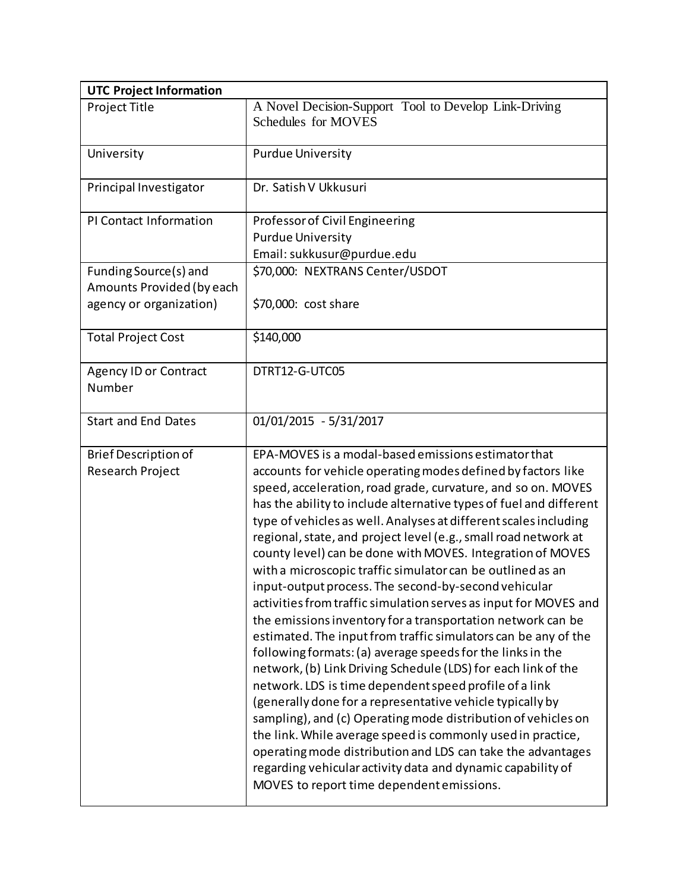| <b>UTC Project Information</b>                                                |                                                                                                                                                                                                                                                                                                                                                                                                                                                                                                                                                                                                                                                                                                                                                                                                                                                                                                                                                                                                                                                                                                                                                                                                                                                                                                                                                            |
|-------------------------------------------------------------------------------|------------------------------------------------------------------------------------------------------------------------------------------------------------------------------------------------------------------------------------------------------------------------------------------------------------------------------------------------------------------------------------------------------------------------------------------------------------------------------------------------------------------------------------------------------------------------------------------------------------------------------------------------------------------------------------------------------------------------------------------------------------------------------------------------------------------------------------------------------------------------------------------------------------------------------------------------------------------------------------------------------------------------------------------------------------------------------------------------------------------------------------------------------------------------------------------------------------------------------------------------------------------------------------------------------------------------------------------------------------|
| Project Title                                                                 | A Novel Decision-Support Tool to Develop Link-Driving<br>Schedules for MOVES                                                                                                                                                                                                                                                                                                                                                                                                                                                                                                                                                                                                                                                                                                                                                                                                                                                                                                                                                                                                                                                                                                                                                                                                                                                                               |
| University                                                                    | <b>Purdue University</b>                                                                                                                                                                                                                                                                                                                                                                                                                                                                                                                                                                                                                                                                                                                                                                                                                                                                                                                                                                                                                                                                                                                                                                                                                                                                                                                                   |
| Principal Investigator                                                        | Dr. Satish V Ukkusuri                                                                                                                                                                                                                                                                                                                                                                                                                                                                                                                                                                                                                                                                                                                                                                                                                                                                                                                                                                                                                                                                                                                                                                                                                                                                                                                                      |
| PI Contact Information                                                        | Professor of Civil Engineering<br><b>Purdue University</b><br>Email: sukkusur@purdue.edu                                                                                                                                                                                                                                                                                                                                                                                                                                                                                                                                                                                                                                                                                                                                                                                                                                                                                                                                                                                                                                                                                                                                                                                                                                                                   |
| Funding Source(s) and<br>Amounts Provided (by each<br>agency or organization) | \$70,000: NEXTRANS Center/USDOT<br>\$70,000: cost share                                                                                                                                                                                                                                                                                                                                                                                                                                                                                                                                                                                                                                                                                                                                                                                                                                                                                                                                                                                                                                                                                                                                                                                                                                                                                                    |
| <b>Total Project Cost</b>                                                     | \$140,000                                                                                                                                                                                                                                                                                                                                                                                                                                                                                                                                                                                                                                                                                                                                                                                                                                                                                                                                                                                                                                                                                                                                                                                                                                                                                                                                                  |
| <b>Agency ID or Contract</b><br>Number                                        | DTRT12-G-UTC05                                                                                                                                                                                                                                                                                                                                                                                                                                                                                                                                                                                                                                                                                                                                                                                                                                                                                                                                                                                                                                                                                                                                                                                                                                                                                                                                             |
| <b>Start and End Dates</b>                                                    | 01/01/2015 - 5/31/2017                                                                                                                                                                                                                                                                                                                                                                                                                                                                                                                                                                                                                                                                                                                                                                                                                                                                                                                                                                                                                                                                                                                                                                                                                                                                                                                                     |
| <b>Brief Description of</b><br>Research Project                               | EPA-MOVES is a modal-based emissions estimator that<br>accounts for vehicle operating modes defined by factors like<br>speed, acceleration, road grade, curvature, and so on. MOVES<br>has the ability to include alternative types of fuel and different<br>type of vehicles as well. Analyses at different scales including<br>regional, state, and project level (e.g., small road network at<br>county level) can be done with MOVES. Integration of MOVES<br>with a microscopic traffic simulator can be outlined as an<br>input-output process. The second-by-second vehicular<br>activities from traffic simulation serves as input for MOVES and<br>the emissions inventory for a transportation network can be<br>estimated. The input from traffic simulators can be any of the<br>following formats: (a) average speeds for the links in the<br>network, (b) Link Driving Schedule (LDS) for each link of the<br>network. LDS is time dependent speed profile of a link<br>(generally done for a representative vehicle typically by<br>sampling), and (c) Operating mode distribution of vehicles on<br>the link. While average speed is commonly used in practice,<br>operating mode distribution and LDS can take the advantages<br>regarding vehicular activity data and dynamic capability of<br>MOVES to report time dependent emissions. |